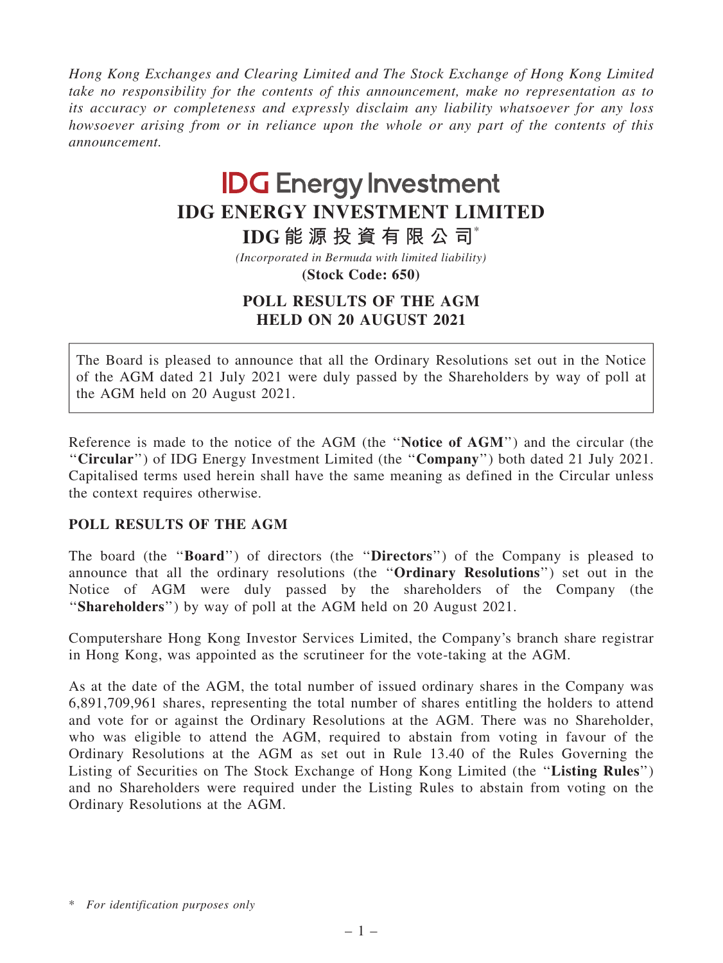Hong Kong Exchanges and Clearing Limited and The Stock Exchange of Hong Kong Limited take no responsibility for the contents of this announcement, make no representation as to its accuracy or completeness and expressly disclaim any liability whatsoever for any loss howsoever arising from or in reliance upon the whole or any part of the contents of this announcement.

## **IDG Energy Investment IDG ENERGY INVESTMENT LIMITED**

**IDG 能 源 投 資 有 限 公 司**\*

*(Incorporated in Bermuda with limited liability)*

**(Stock Code: 650)**

## POLL RESULTS OF THE AGM HELD ON 20 AUGUST 2021

The Board is pleased to announce that all the Ordinary Resolutions set out in the Notice of the AGM dated 21 July 2021 were duly passed by the Shareholders by way of poll at the AGM held on 20 August 2021.

Reference is made to the notice of the AGM (the ''Notice of AGM'') and the circular (the ''Circular'') of IDG Energy Investment Limited (the ''Company'') both dated 21 July 2021. Capitalised terms used herein shall have the same meaning as defined in the Circular unless the context requires otherwise.

## POLL RESULTS OF THE AGM

The board (the ''Board'') of directors (the ''Directors'') of the Company is pleased to announce that all the ordinary resolutions (the ''Ordinary Resolutions'') set out in the Notice of AGM were duly passed by the shareholders of the Company (the "Shareholders") by way of poll at the AGM held on 20 August 2021.

Computershare Hong Kong Investor Services Limited, the Company's branch share registrar in Hong Kong, was appointed as the scrutineer for the vote-taking at the AGM.

As at the date of the AGM, the total number of issued ordinary shares in the Company was 6,891,709,961 shares, representing the total number of shares entitling the holders to attend and vote for or against the Ordinary Resolutions at the AGM. There was no Shareholder, who was eligible to attend the AGM, required to abstain from voting in favour of the Ordinary Resolutions at the AGM as set out in Rule 13.40 of the Rules Governing the Listing of Securities on The Stock Exchange of Hong Kong Limited (the ''Listing Rules'') and no Shareholders were required under the Listing Rules to abstain from voting on the Ordinary Resolutions at the AGM.

<sup>\*</sup> For identification purposes only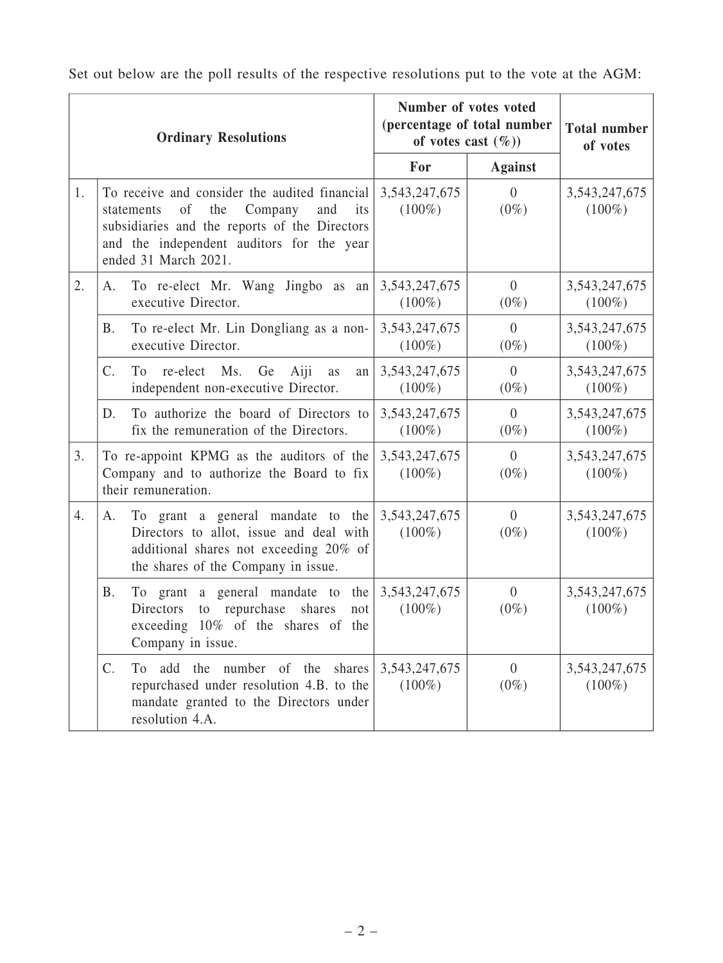| <b>Ordinary Resolutions</b> |                                                                                                                                                                                                                  |     | Number of votes voted<br>(percentage of total number<br>of votes cast $(\%)$ |                           | <b>Total number</b><br>of votes |
|-----------------------------|------------------------------------------------------------------------------------------------------------------------------------------------------------------------------------------------------------------|-----|------------------------------------------------------------------------------|---------------------------|---------------------------------|
|                             |                                                                                                                                                                                                                  | For | <b>Against</b>                                                               |                           |                                 |
| 1.                          | To receive and consider the audited financial<br>of<br>the<br>Company<br>and<br>statements<br>subsidiaries and the reports of the Directors<br>and the independent auditors for the year<br>ended 31 March 2021. | its | 3, 543, 247, 675<br>$(100\%)$                                                | $\theta$<br>$(0\%)$       | 3, 543, 247, 675<br>$(100\%)$   |
| 2.                          | To re-elect Mr. Wang Jingbo as an<br>A.<br>executive Director.                                                                                                                                                   |     | 3, 543, 247, 675<br>$(100\%)$                                                | $\overline{0}$<br>$(0\%)$ | 3, 543, 247, 675<br>$(100\%)$   |
|                             | To re-elect Mr. Lin Dongliang as a non-<br>В.<br>executive Director.                                                                                                                                             |     | 3, 543, 247, 675<br>$(100\%)$                                                | $\overline{0}$<br>$(0\%)$ | 3,543,247,675<br>$(100\%)$      |
|                             | C.<br>To re-elect Ms.<br>Ge<br>Aiji<br>as<br>independent non-executive Director.                                                                                                                                 | an  | 3, 543, 247, 675<br>$(100\%)$                                                | $\overline{0}$<br>$(0\%)$ | 3,543,247,675<br>$(100\%)$      |
|                             | To authorize the board of Directors to<br>D.<br>fix the remuneration of the Directors.                                                                                                                           |     | 3, 543, 247, 675<br>$(100\%)$                                                | $\overline{0}$<br>$(0\%)$ | 3,543,247,675<br>$(100\%)$      |
| 3.                          | To re-appoint KPMG as the auditors of the<br>Company and to authorize the Board to fix<br>their remuneration.                                                                                                    |     | 3, 543, 247, 675<br>$(100\%)$                                                | $\overline{0}$<br>$(0\%)$ | 3,543,247,675<br>$(100\%)$      |
| 4.                          | To grant a general mandate to the<br>A.<br>Directors to allot, issue and deal with<br>additional shares not exceeding 20% of<br>the shares of the Company in issue.                                              |     | 3, 543, 247, 675<br>$(100\%)$                                                | $\overline{0}$<br>$(0\%)$ | 3, 543, 247, 675<br>$(100\%)$   |
|                             | <b>B.</b><br>To grant a general mandate to the<br>repurchase<br>Directors<br>shares<br>to<br>exceeding 10% of the shares of the<br>Company in issue.                                                             | not | 3, 543, 247, 675<br>$(100\%)$                                                | $\overline{0}$<br>$(0\%)$ | 3,543,247,675<br>$(100\%)$      |
|                             | C.<br>add the number of the shares<br>T <sub>0</sub><br>repurchased under resolution 4.B. to the<br>mandate granted to the Directors under<br>resolution 4.A.                                                    |     | 3, 543, 247, 675<br>$(100\%)$                                                | $\overline{0}$<br>$(0\%)$ | 3, 543, 247, 675<br>$(100\%)$   |

Set out below are the poll results of the respective resolutions put to the vote at the AGM: